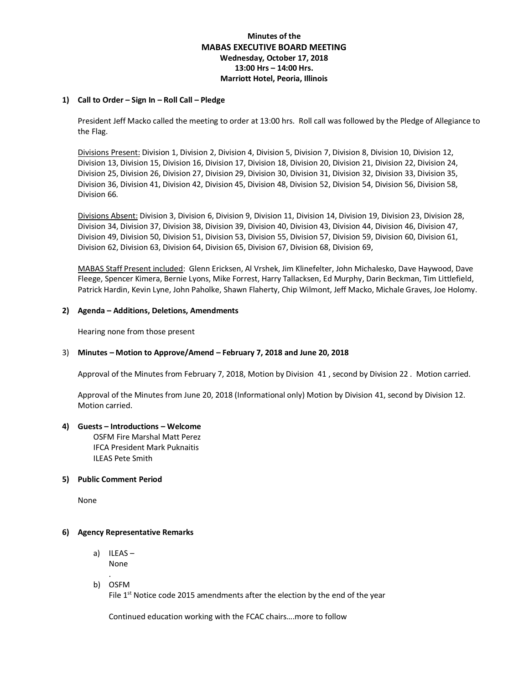# **Minutes of the MABAS EXECUTIVE BOARD MEETING Wednesday, October 17, 2018 13:00 Hrs – 14:00 Hrs. Marriott Hotel, Peoria, Illinois**

## **1) Call to Order – Sign In – Roll Call – Pledge**

President Jeff Macko called the meeting to order at 13:00 hrs. Roll call was followed by the Pledge of Allegiance to the Flag.

Divisions Present: Division 1, Division 2, Division 4, Division 5, Division 7, Division 8, Division 10, Division 12, Division 13, Division 15, Division 16, Division 17, Division 18, Division 20, Division 21, Division 22, Division 24, Division 25, Division 26, Division 27, Division 29, Division 30, Division 31, Division 32, Division 33, Division 35, Division 36, Division 41, Division 42, Division 45, Division 48, Division 52, Division 54, Division 56, Division 58, Division 66.

Divisions Absent: Division 3, Division 6, Division 9, Division 11, Division 14, Division 19, Division 23, Division 28, Division 34, Division 37, Division 38, Division 39, Division 40, Division 43, Division 44, Division 46, Division 47, Division 49, Division 50, Division 51, Division 53, Division 55, Division 57, Division 59, Division 60, Division 61, Division 62, Division 63, Division 64, Division 65, Division 67, Division 68, Division 69,

MABAS Staff Present included: Glenn Ericksen, Al Vrshek, Jim Klinefelter, John Michalesko, Dave Haywood, Dave Fleege, Spencer Kimera, Bernie Lyons, Mike Forrest, Harry Tallacksen, Ed Murphy, Darin Beckman, Tim Littlefield, Patrick Hardin, Kevin Lyne, John Paholke, Shawn Flaherty, Chip Wilmont, Jeff Macko, Michale Graves, Joe Holomy.

## **2) Agenda – Additions, Deletions, Amendments**

Hearing none from those present

#### 3) **Minutes – Motion to Approve/Amend – February 7, 2018 and June 20, 2018**

Approval of the Minutes from February 7, 2018, Motion by Division 41 , second by Division 22 . Motion carried.

Approval of the Minutes from June 20, 2018 (Informational only) Motion by Division 41, second by Division 12. Motion carried.

#### **4) Guests – Introductions – Welcome**

OSFM Fire Marshal Matt Perez IFCA President Mark Puknaitis ILEAS Pete Smith

## **5) Public Comment Period**

None

## **6) Agency Representative Remarks**

- a) ILEAS None
- . b) OSFM

File  $1<sup>st</sup>$  Notice code 2015 amendments after the election by the end of the year

Continued education working with the FCAC chairs….more to follow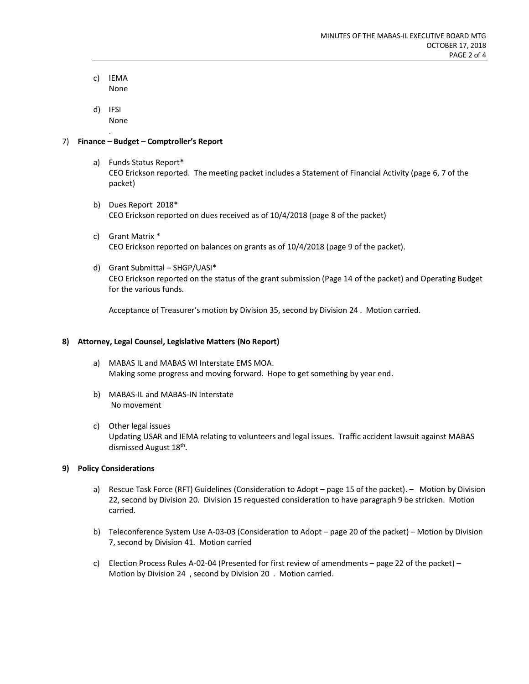- c) IEMA None
- d) IFSI None .

# 7) **Finance – Budget – Comptroller's Report**

- a) Funds Status Report\* CEO Erickson reported. The meeting packet includes a Statement of Financial Activity (page 6, 7 of the packet)
- b) Dues Report 2018\* CEO Erickson reported on dues received as of 10/4/2018 (page 8 of the packet)
- c) Grant Matrix \* CEO Erickson reported on balances on grants as of 10/4/2018 (page 9 of the packet).
- d) Grant Submittal SHGP/UASI\* CEO Erickson reported on the status of the grant submission (Page 14 of the packet) and Operating Budget for the various funds.

Acceptance of Treasurer's motion by Division 35, second by Division 24 . Motion carried.

## **8) Attorney, Legal Counsel, Legislative Matters (No Report)**

- a) MABAS IL and MABAS WI Interstate EMS MOA. Making some progress and moving forward. Hope to get something by year end.
- b) MABAS-IL and MABAS-IN Interstate No movement
- c) Other legal issues Updating USAR and IEMA relating to volunteers and legal issues. Traffic accident lawsuit against MABAS dismissed August 18<sup>th</sup>.

#### **9) Policy Considerations**

- a) Rescue Task Force (RFT) Guidelines (Consideration to Adopt page 15 of the packet). Motion by Division 22, second by Division 20. Division 15 requested consideration to have paragraph 9 be stricken. Motion carried.
- b) Teleconference System Use A-03-03 (Consideration to Adopt page 20 of the packet) Motion by Division 7, second by Division 41. Motion carried
- c) Election Process Rules A-02-04 (Presented for first review of amendments page 22 of the packet) Motion by Division 24 , second by Division 20 . Motion carried.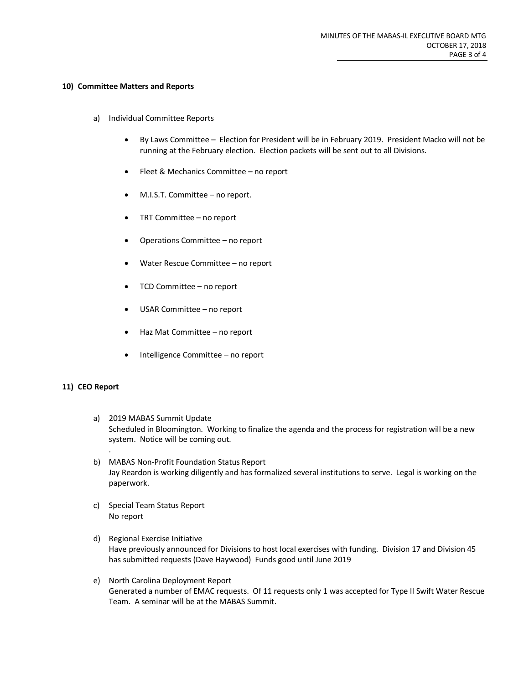#### **10) Committee Matters and Reports**

- a) Individual Committee Reports
	- By Laws Committee Election for President will be in February 2019. President Macko will not be running at the February election. Election packets will be sent out to all Divisions.
	- Fleet & Mechanics Committee no report
	- M.I.S.T. Committee no report.
	- TRT Committee no report
	- Operations Committee no report
	- Water Rescue Committee no report
	- TCD Committee no report
	- USAR Committee no report
	- Haz Mat Committee no report
	- Intelligence Committee no report

#### **11) CEO Report**

.

- a) 2019 MABAS Summit Update Scheduled in Bloomington. Working to finalize the agenda and the process for registration will be a new system. Notice will be coming out.
- b) MABAS Non-Profit Foundation Status Report Jay Reardon is working diligently and has formalized several institutions to serve. Legal is working on the paperwork.
- c) Special Team Status Report No report
- d) Regional Exercise Initiative Have previously announced for Divisions to host local exercises with funding. Division 17 and Division 45 has submitted requests (Dave Haywood) Funds good until June 2019
- e) North Carolina Deployment Report Generated a number of EMAC requests. Of 11 requests only 1 was accepted for Type II Swift Water Rescue Team. A seminar will be at the MABAS Summit.